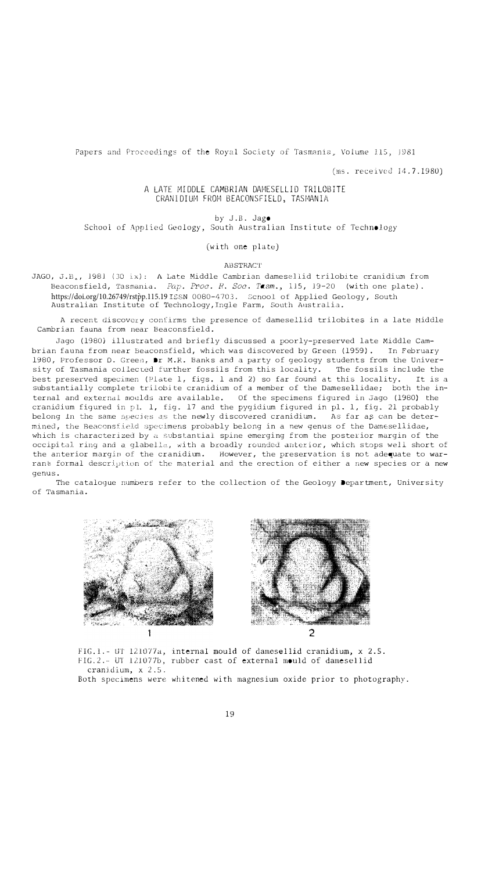Papers and Proceedings of the Royal Society of Tasmania, Volume 115, 1981

(ms. received 14.7.1980)

## A LATE MIDDLE CAMBRIAN DAMESELLID TRILOBITE CRANIDIUM FROM BEACONSFIELD, TASMANIA

by J.B. Jago

School of Applied Geology, South Australian Institute of Technology

(with one plate)

ABSTRACT

JAGO, J.B., 1981 (30 ix): A Late Middle Cambrian damesellid trilobite cranidium from Beaconsfield, Tasmania. *Pap. Proc. H. Soc. Tasm.,* 115, 19-20 (with one plate). https://doi.org/10.26749/rstpp.115.19 ISSN 0080-470.3. Scnool of Applied Geology, South Australian Institute of Technology, Ingle Farm, South Australia.

A recent discovery confirms the presence of damesellid trilobites in a late Middle Cambrian fauna from near Beaconsfield.

Jago (1980) illustrated and briefly discussed a poorly-preserved late Middle Cambrian fauna from near Beaconsfield, which was discovered by Green (1959). 1980, Professor D. Green, Dr M.R. Banks and a party of geology students from the Univer-<br>sity of Tasmania collected further fossils from this locality. The fossils include the sity of Tasmania collected further fossils from this locality. The fossils include the<br>best preserved specimen (Plate 1, figs. 1 and 2) so far found at this locality. It is a best preserved specimen (Plate  $l$ , figs.  $l$  and  $2$ ) so far found at this locality. substantially complete trilobite cranidium of a member of the Damesellidae; both the internal and external moulds are available. Of the specimens figured in Jago (1980) the cranidium figured in pl. 1, fig. 17 and the pygidium figured in pl. 1, fig. 21 probably belong in the same species as the newly discovered cranidium. As far as can be determined, the Beaconsfield specimens probably belong in a new genus of the Damesellidae, which is characterized by  $\alpha$  substantial spine emerging from the posterior margin of the occipital ring and a glabella, with a broadly rounded anterior, which stops well short of<br>the anterior margin of the cranidium. However, the preservation is not adequate to war-However, the preservation is not adequate to warrant formal description of the material and the erection of either a new species or a new genus.

The catalogue numbers refer to the collection of the Geology Department, University of Tasmania.





FIG.1.- UT 121077a, internal mould of damesellid cranidium, x 2.5. FIG. 2.- UT 121077b, rubber cast of external mould of damesellid cranidium, x 2.5.

Both specimens were whitened with magnesium oxide prior to photography.